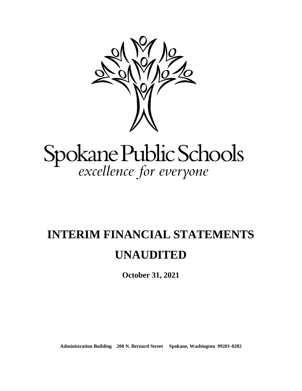

# Spokane Public Schools<br>excellence for everyone

# **INTERIM FINANCIAL STATEMENTS UNAUDITED**

**October 31, 2021**

**Administration Building 200 N. Bernard Street Spokane, Washington 99201-0282**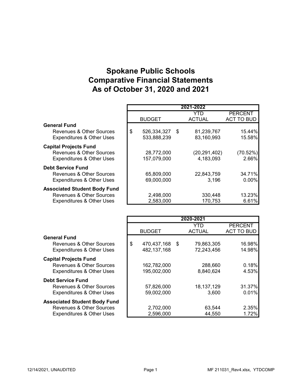# Spokane Public Schools Comparative Financial Statements As of October 31, 2020 and 2021

|                                      |                      | 2021-2022            |                                     |
|--------------------------------------|----------------------|----------------------|-------------------------------------|
|                                      | <b>BUDGET</b>        | YTD<br><b>ACTUAL</b> | <b>PERCENT</b><br><b>ACT TO BUD</b> |
| <b>General Fund</b>                  |                      |                      |                                     |
| Revenues & Other Sources             | \$<br>526,334,327 \$ | 81,239,767           | 15.44%                              |
| <b>Expenditures &amp; Other Uses</b> | 533,888,239          | 83,160,993           | 15.58%                              |
| <b>Capital Projects Fund</b>         |                      |                      |                                     |
| Revenues & Other Sources             | 28,772,000           | (20, 291, 402)       | (70.52%)                            |
| <b>Expenditures &amp; Other Uses</b> | 157,079,000          | 4,183,093            | 2.66%                               |
| <b>Debt Service Fund</b>             |                      |                      |                                     |
| Revenues & Other Sources             | 65,809,000           | 22,843,759           | 34.71%                              |
| <b>Expenditures &amp; Other Uses</b> | 69,000,000           | 3.196                | $0.00\%$                            |
| <b>Associated Student Body Fund</b>  |                      |                      |                                     |
| Revenues & Other Sources             | 2,498,000            | 330,448              | 13.23%                              |
| <b>Expenditures &amp; Other Uses</b> | 2,583,000            | 170,753              | 6.61%                               |

|                                      |                      | 2020-2021     |                   |
|--------------------------------------|----------------------|---------------|-------------------|
|                                      |                      | YTD           | <b>PERCENT</b>    |
|                                      | <b>BUDGET</b>        | <b>ACTUAL</b> | <b>ACT TO BUD</b> |
| <b>General Fund</b>                  |                      |               |                   |
| Revenues & Other Sources             | \$<br>470,437,168 \$ | 79,863,305    | 16.98%            |
| <b>Expenditures &amp; Other Uses</b> | 482, 137, 168        | 72,243,456    | 14.98%            |
| <b>Capital Projects Fund</b>         |                      |               |                   |
| Revenues & Other Sources             | 162,782,000          | 288,660       | 0.18%             |
| <b>Expenditures &amp; Other Uses</b> | 195,002,000          | 8,840,624     | 4.53%             |
| <b>Debt Service Fund</b>             |                      |               |                   |
| Revenues & Other Sources             | 57,826,000           | 18, 137, 129  | 31.37%            |
| <b>Expenditures &amp; Other Uses</b> | 59,002,000           | 3,600         | 0.01%             |
| <b>Associated Student Body Fund</b>  |                      |               |                   |
| Revenues & Other Sources             | 2,702,000            | 63,544        | 2.35%             |
| <b>Expenditures &amp; Other Uses</b> | 2,596,000            | 44,550        | 1.72%             |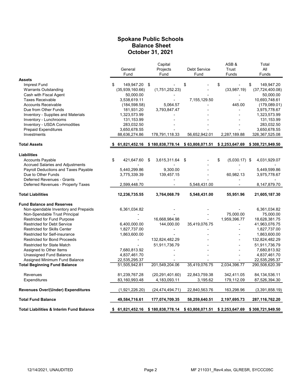#### Spokane Public Schools Balance Sheet October 31, 2021

|                                                     |                      | Capital                          |                                  | ASB&                  | Total             |
|-----------------------------------------------------|----------------------|----------------------------------|----------------------------------|-----------------------|-------------------|
|                                                     | General              | Projects                         | Debt Service                     | Trust                 | All               |
|                                                     | Fund                 | Fund                             | Fund                             | Funds                 | Funds             |
| <b>Assets</b>                                       |                      |                                  |                                  |                       |                   |
| Imprest Fund                                        | 149,947.20 \$<br>\$. |                                  | \$                               | \$                    | 149,947.20<br>\$  |
| <b>Warrants Outstanding</b>                         | (35,939,160.66)      | (1,751,252.23)                   |                                  | (33,987,19)           | (37, 724, 400.08) |
| Cash with Fiscal Agent                              | 50,000.00            |                                  |                                  |                       | 50,000.00         |
| <b>Taxes Receivable</b>                             | 3,538,619.11         |                                  | 7,155,129.50                     | $\overline{a}$        | 10,693,748.61     |
| <b>Accounts Receivable</b>                          | (184, 598.58)        | 5,064.57                         |                                  | 445.00                | (179,089.01)      |
| Due from Other Funds                                | 181,931.20           | 3,793,847.47                     |                                  |                       | 3,975,778.67      |
| Inventory - Supplies and Materials                  | 1,323,573.99         |                                  |                                  |                       | 1,323,573.99      |
| Inventory - Lunchrooms                              | 131,153.99           |                                  |                                  |                       | 131,153.99        |
| Inventory - USDA Commodities                        | 283,032.50           |                                  |                                  |                       | 283,032.50        |
| <b>Prepaid Expenditures</b>                         | 3,650,678.55         |                                  |                                  |                       | 3,650,678.55      |
| Investments                                         | 88,636,274.86        | 178,791,118.33                   | 56,652,942.01                    | 2,287,189.88          | 326,367,525.08    |
| <b>Total Assets</b>                                 | 61,821,452.16        | \$180,838,778.14 \$63,808,071.51 |                                  | \$2,253,647.69        | \$308,721,949.50  |
|                                                     |                      |                                  |                                  |                       |                   |
| <b>Liabilities</b>                                  |                      |                                  |                                  |                       |                   |
| <b>Accounts Payable</b>                             | \$<br>421,647.60     | -\$<br>3,615,311.64 \$           |                                  | \$<br>$(5,030.17)$ \$ | 4,031,929.07      |
| <b>Accrued Salaries and Adjustments</b>             |                      |                                  |                                  |                       |                   |
| Payroll Deductions and Taxes Payable                | 5,440,299.86         | 9,300.00                         |                                  |                       | 5,449,599.86      |
| Due to Other Funds                                  | 3,775,339.39         | 139,457.15                       |                                  | 60,982.13             | 3,975,778.67      |
| Deferred Revenues - Grants                          |                      |                                  |                                  |                       |                   |
| Deferred Revenues - Property Taxes                  | 2,599,448.70         |                                  | 5,548,431.00                     |                       | 8,147,879.70      |
| <b>Total Liabilities</b>                            | 12,236,735.55        | 3,764,068.79                     | 5,548,431.00                     | 55,951.96             | 21,605,187.30     |
| <b>Fund Balance and Reserves</b>                    |                      |                                  |                                  |                       |                   |
| Non-spendable Inventory and Prepaids                | 6,361,034.82         |                                  |                                  |                       | 6,361,034.82      |
| Non-Spendable Trust Principal                       |                      |                                  |                                  | 75,000.00             | 75,000.00         |
| <b>Restricted for Fund Purpose</b>                  |                      | 16,668,984.98                    |                                  | 1,959,396.77          | 18,628,381.75     |
| Restricted for Debt Service                         | 6,400,000.00         | 144,000.00                       | 35,419,076.75                    | Ĭ.                    | 41,963,076.75     |
| <b>Restricted for Skills Center</b>                 | 1,827,737.00         |                                  |                                  |                       | 1,827,737.00      |
| Restricted for Self-insurance                       | 1,863,600.00         |                                  |                                  |                       | 1,863,600.00      |
| <b>Restricted for Bond Proceeds</b>                 |                      | 132,824,482.29                   |                                  |                       | 132,824,482.29    |
| <b>Restricted for State Match</b>                   |                      | 51,911,736.79                    |                                  |                       | 51,911,736.79     |
| Assigned to Other Items                             | 7,680,813.92         |                                  |                                  |                       | 7,680,813.92      |
| Unassigned Fund Balance                             | 4,837,461.70         |                                  |                                  |                       | 4,837,461.70      |
| Assigned Minimum Fund Balance                       | 22,535,295.37        |                                  |                                  |                       | 22,535,295.37     |
| <b>Total Beginning Fund Balance</b>                 | 51,505,942.81        | 201,549,204.06                   | 35,419,076.75                    | 2,034,396.77          | 290,508,620.39    |
|                                                     |                      |                                  |                                  |                       |                   |
| Revenues                                            | 81,239,767.28        | (20, 291, 401.60)                | 22,843,759.38                    | 342,411.05            | 84, 134, 536. 11  |
| Expenditures                                        | 83,160,993.48        | 4,183,093.11                     | 3,195.62                         | 179,112.09            | 87,526,394.30     |
| <b>Revenues Over/(Under) Expenditures</b>           | (1,921,226.20)       | (24, 474, 494.71)                | 22,840,563.76                    | 163,298.96            | (3,391,858.19)    |
| <b>Total Fund Balance</b>                           | 49,584,716.61        | 177,074,709.35                   | 58,259,640.51                    | 2,197,695.73          | 287,116,762.20    |
| <b>Total Liabilities &amp; Interim Fund Balance</b> | 61,821,452.16<br>\$  |                                  | \$180,838,778.14 \$63,808,071.51 | \$2,253,647.69        | \$308,721,949.50  |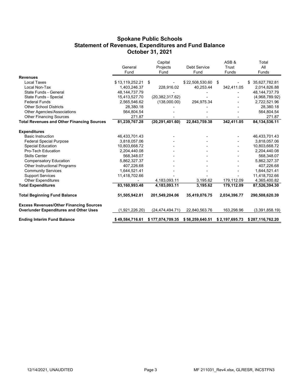#### Spokane Public Schools Statement of Revenues, Expenditures and Fund Balance October 31, 2021

|                                                   |                  | Capital           |                     | ASB&           | Total               |
|---------------------------------------------------|------------------|-------------------|---------------------|----------------|---------------------|
|                                                   | General          | Projects          | Debt Service        | Trust          | All                 |
|                                                   | Fund             | Fund              | Fund                | Funds          | Funds               |
| <b>Revenues</b>                                   |                  |                   |                     |                |                     |
| <b>Local Taxes</b>                                | \$13,119,252.21  | \$                | $$22,508,530.60$ \$ |                | 35,627,782.81<br>\$ |
| Local Non-Tax                                     | 1,403,246.37     | 228,916.02        | 40.253.44           | 342,411.05     | 2,014,826.88        |
| State Funds - General                             | 48, 144, 737. 79 |                   |                     |                | 48, 144, 737. 79    |
| State Funds - Special                             | 15,413,527.70    | (20, 382, 317.62) |                     |                | (4,968,789.92)      |
| <b>Federal Funds</b>                              | 2,565,546.62     | (138,000.00)      | 294,975.34          |                | 2,722,521.96        |
| <b>Other School Districts</b>                     | 28,380.18        |                   |                     |                | 28,380.18           |
| Other Agencies/Associations                       | 564,804.54       |                   |                     |                | 564,804.54          |
| <b>Other Financing Sources</b>                    | 271.87           |                   |                     |                | 271.87              |
| <b>Total Revenues and Other Financing Sources</b> | 81,239,767.28    | (20, 291, 401.60) | 22,843,759.38       | 342,411.05     | 84, 134, 536. 11    |
| <b>Expenditures</b>                               |                  |                   |                     |                |                     |
| <b>Basic Instruction</b>                          | 46,433,701.43    |                   |                     |                | 46,433,701.43       |
| <b>Federal Special Purpose</b>                    | 3,818,057.06     |                   |                     |                | 3,818,057.06        |
| Special Education                                 | 10,803,668.72    |                   |                     |                | 10,803,668.72       |
| Pro-Tech Education                                | 2,204,440.08     |                   |                     |                | 2,204,440.08        |
| <b>Skills Center</b>                              | 568,348.07       |                   |                     |                | 568,348.07          |
| <b>Compensatory Education</b>                     | 5,862,327.37     |                   |                     |                | 5,862,327.37        |
| Other Instructional Programs                      | 407,226.68       |                   |                     |                | 407,226.68          |
| <b>Community Services</b>                         | 1,644,521.41     |                   |                     |                | 1,644,521.41        |
| <b>Support Services</b>                           | 11,418,702.66    |                   |                     |                | 11,418,702.66       |
| <b>Other Expenditures</b>                         |                  | 4,183,093.11      | 3,195.62            | 179,112.09     | 4,365,400.82        |
| <b>Total Expenditures</b>                         | 83,160,993.48    | 4,183,093.11      | 3,195.62            | 179,112.09     | 87,526,394.30       |
| <b>Total Beginning Fund Balance</b>               | 51,505,942.81    | 201,549,204.06    | 35,419,076.75       | 2,034,396.77   | 290,508,620.39      |
| <b>Excess Revenues/Other Financing Sources</b>    |                  |                   |                     |                |                     |
| <b>Over/under Expenditures and Other Uses</b>     | (1,921,226.20)   | (24, 474, 494.71) | 22,840,563.76       | 163,298.96     | (3,391,858.19)      |
| <b>Ending Interim Fund Balance</b>                | \$49,584,716.61  | \$177,074,709.35  | \$58,259,640.51     | \$2,197,695.73 | \$287,116,762.20    |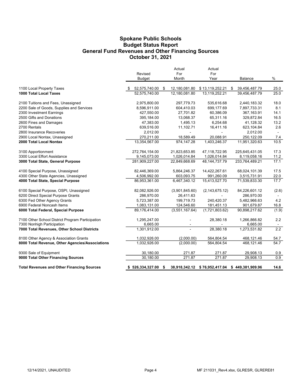#### Spokane Public Schools General Fund Revenues and Other Financing Sources October 31, 2021 Budget Status Report

|                                                   | Revised<br><b>Budget</b> |   | Actual<br>For<br>Month   | Actual<br>For<br>Year         | Balance             | %                        |
|---------------------------------------------------|--------------------------|---|--------------------------|-------------------------------|---------------------|--------------------------|
| 1100 Local Property Taxes                         | 52,575,740.00 \$         |   | 12,180,081.80            | \$13,119,252.21               | 39,456,487.79<br>\$ | 25.0                     |
| 1000 Total Local Taxes                            | 52,575,740.00            |   | 12,180,081.80            | 13,119,252.21                 | 39,456,487.79       | 25.0                     |
| 2100 Tuitions and Fees, Unassigned                | 2,975,800.00             |   | 297,779.73               | 535,616.68                    | 2,440,183.32        | 18.0                     |
| 2200 Sale of Goods, Supplies and Services         | 8,596,911.00             |   | 604,410.03               | 699,177.69                    | 7,897,733.31        | 8.1                      |
| 2300 Investment Earnings                          | 427,550.00               |   | 27,701.82                | 60,386.09                     | 367,163.91          | 14.1                     |
| 2500 Gifts and Donations                          | 395,184.00               |   | 13,068.37                | 65,311.16                     | 329,872.84          | 16.5                     |
| 2600 Fines and Damages                            | 47,383.00                |   | 1,495.13                 | 6,254.68                      | 41,128.32           | 13.2                     |
| 2700 Rentals                                      | 639,516.00               |   | 11,102.71                | 16,411.16                     | 623,104.84          | 2.6                      |
| 2800 Insurance Recoveries                         | 2,012.00                 |   | $\overline{\phantom{a}}$ |                               | 2,012.00            | $\overline{\phantom{a}}$ |
| 2900 Local Nontax, Unassigned                     | 270,211.00               |   | 18,589.49                | 20,088.91                     | 250,122.09          | 7.4                      |
| 2000 Total Local Nontax                           | 13,354,567.00            |   | 974,147.28               | 1,403,246.37                  | 11,951,320.63       | 10.5                     |
| 3100 Apportionment                                | 272,764,154.00           |   | 21,823,653.85            | 47,118,722.95                 | 225,645,431.05      | 17.3                     |
| 3300 Local Effort Assistance                      | 9,145,073.00             |   | 1,026,014.84             | 1,026,014.84                  | 8,119,058.16        | 11.2                     |
| 3000 Total State, General Purpose                 | 281,909,227.00           |   | 22,849,668.69            | 48,144,737.79                 | 233,764,489.21      | 17.1                     |
| 4100 Special Purpose, Unassigned                  | 82,446,369.00            |   | 5,864,246.37             | 14,422,267.61                 | 68,024,101.39       | 17.5                     |
| 4300 Other State Agencies, Unassigned             | 4,506,992.00             |   | 603,093.75               | 991,260.09                    | 3,515,731.91        | 22.0                     |
| 4000 Total State, Special Purpose                 | 86,953,361.00            |   | 6,467,340.12             | 15,413,527.70                 | 71,539,833.30       | 17.7                     |
| 6100 Special Purpose, OSPI, Unassigned            | 82,082,926.00            |   | (3,901,845.60)           | (2, 143, 675.12)              | 84,226,601.12       | (2.6)                    |
| 6200 Direct Special Purpose Grants                | 286,970.00               |   | 26,411.63                |                               | 286,970.00          |                          |
| 6300 Fed Other Agency Grants                      | 5,723,387.00             |   | 199,719.73               | 240,420.37                    | 5,482,966.63        | 4.2                      |
| 6900 Federal Noncash Items                        | 1,083,131.00             |   | 124,546.60               | 181,451.13                    | 901,679.87          | 16.8                     |
| 6000 Total Federal, Special Purpose               | 89,176,414.00            |   | (3,551,167.64)           | (1,721,803.62)                | 90,898,217.62       | (1.9)                    |
| 7100 Other School District Program Participation  | 1,295,247.00             |   |                          | 28,380.18                     | 1,266,866.82        | 2.2                      |
| 7300 Nonhigh Participation                        | 6,665.00                 |   |                          |                               | 6,665.00            | $\blacksquare$           |
| 7000 Total Revenues, Other School Districts       | 1,301,912.00             |   |                          | 28,380.18                     | 1,273,531.82        | 2.2                      |
| 8100 Other Agency & Association Grants            | 1,032,926.00             |   | (2,000.00)               | 564,804.54                    | 468,121.46          | 54.7                     |
| 8000 Total Revenue, Other Agencies/Associations   | 1,032,926.00             |   | (2,000.00)               | 564,804.54                    | 468,121.46          | 54.7                     |
| 9300 Sale of Equipment                            | 30,180.00                |   | 271.87                   | 271.87                        | 29,908.13           | 0.9                      |
| 9000 Total Other Financing Sources                | 30,180.00                |   | 271.87                   | 271.87                        | 29,908.13           | 0.9                      |
| <b>Total Revenues and Other Financing Sources</b> | \$526,334,327.00         | S |                          | 38,918,342.12 \$76,952,417.04 | \$449,381,909.96    | 14.6                     |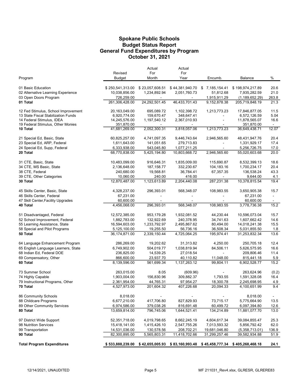#### Budget Status Report General Fund Expenditures by Program Spokane Public Schools October 31, 2021

|                                     |                  | Actual          | Actual                                          |                |                  |                |
|-------------------------------------|------------------|-----------------|-------------------------------------------------|----------------|------------------|----------------|
|                                     | Revised          | For             | For                                             |                |                  |                |
| Program                             | Budget           | Month           | Year                                            | Encumb.        | Balance          | $\%$           |
| 01 Basic Education                  | \$250,541,313.00 | \$23,057,608.51 | \$44,381,940.70                                 | \$7,185,154.41 | \$198,974,217.89 | 20.6           |
| 02 Alternative Learning Experience  | 10,038,856.00    | 1,234,892.94    | 2,051,760.73                                    | 51,812.68      | 7,935,282.59     | 21.0           |
| 03 Open Doors Program               | 726,259.00       | $\sim$          |                                                 | 1,915,911.29   | (1, 189, 652.29) | 263.8          |
| 01 Total                            | 261,306,428.00   | 24,292,501.45   | 46,433,701.43                                   | 9,152,878.38   | 205,719,848.19   | 21.3           |
| 12 Fed Stimulus, School Improvement | 20,163,049.00    | 695,089.72      | 1,102,398.72                                    | 1,213,773.23   | 17,846,877.05    | 11.5           |
| 13 State Fiscal Stabilization Funds | 6,920,774.00     | 159,670.47      | 348,647.41                                      | $\blacksquare$ | 6,572,126.59     | 5.04           |
| 14 Federal Stimulus, IDEA           | 14,245,576.00    | 1,197,540.12    | 2,367,010.93                                    |                | 11,878,565.07    | 16.6           |
| 19 Federal Stimulus, Other Monies   | 351,870.00       | $\sim$          |                                                 |                | 351,870.00       | $\sim$         |
| 10 Total                            | 41,681,269.00    | 2,052,300.31    | 3,818,057.06                                    | 1,213,773.23   | 36,649,438.71    | 12.07          |
| 21 Special Ed, Basic, State         | 60,825,257.00    | 4,741,097.35    | 9,446,743.64                                    | 2,946,565.60   | 48,431,947.76    | 20.4           |
| 23 Special Ed, ARP, Federal         | 1,611,643.00     | 141,051.65      | 279,713.83                                      | $\blacksquare$ | 1,331,929.17     | 17.4           |
| 24 Special Ed, Supp, Federal        | 6,333,938.00     | 543,045.80      | 1,077,211.25                                    |                | 5,256,726.75     | 17.0           |
| 20 Total                            | 68,770,838.00    | 5,425,194.80    | 10,803,668.72                                   | 2,946,565.60   | 55,020,603.68    | 20.0           |
| 31 CTE, Basic, State                | 10,483,099.00    | 916,646.31      | 1,835,009.00                                    | 115,690.87     | 8,532,399.13     | 18.6           |
| 34 CTE, MS Basic, State             | 2,136,648.00     | 187, 158.77     | 332,230.67                                      | 104,183.16     | 1,700,234.17     | 20.4           |
| 38 CTE, Federal                     | 240,680.00       | 19,568.81       | 36,784.41                                       | 67,357.35      | 136,538.24       | 43.3           |
| 39 CTE, Other Categories            | 10,060.00        | 240.00          | 416.00                                          | $\sim$         | 9,644.00         | 4.1            |
| 30 Total                            | 12,870,487.00    | 1,123,613.89    | 2,204,440.08                                    | 287,231.38     | 10,378,815.54    | 19.4           |
| 45 Skills Center, Basic, State      | 4,328,237.00     | 296,393.01      | 568,348.07                                      | 108,983.55     | 3,650,905.38     | 15.7           |
| 46 Skills Center, Federal           | 67,231.00        |                 |                                                 | $\blacksquare$ | 67,231.00        | $\sim$         |
| 47 Skill Center, Facility Upgrades  | 60,600.00        |                 |                                                 |                | 60,600.00        |                |
| 40 Total                            | 4,456,068.00     | 296,393.01      | 568,348.07                                      | 108,983.55     | 3,778,736.38     | 15.2           |
| 51 Disadvantaged, Federal           | 12,572,385.00    | 953,179.28      | 1,932,081.52                                    | 44,230.44      | 10,596,073.04    | 15.7           |
| 52 School Improvement, Federal      | 1,882,783.00     | 132,922.69      | 240,378.95                                      | 34,741.63      | 1,607,662.42     | 14.6           |
| 55 Learning Assistance, State       | 16,594,603.00    | 1,233,792.97    | 2,495,867.62                                    | 80,494.00      | 14,018,241.38    | 15.5           |
| 58 Special and Pilot Programs       | 5,125,100.00     | 19,255.50       | 56,736.16                                       | 36,508.34      | 5,031,855.50     | 1.8            |
| 50 Total                            | 36,174,871.00    | 2,339,150.44    | 4,725,064.25                                    | 195,974.41     | 31,253,832.34    | 13.6           |
| 64 Language Enhancement Program     | 286,269.00       | 19,202.62       | 31,313.82                                       | 4,250.00       | 250,705.18       | 12.4           |
| 65 English Language Learners, State | 6,749,902.00     | 504,019.77      | 1,038,819.94                                    | 84,506.11      | 5,626,575.95     | 16.6           |
| 68 Indian Ed, Federal DOE           | 236,825.00       | 14,539.25       | 27,018.54                                       | $\sim$         | 209,806.46       | 11.4           |
| 69 Compensatory, Other              | 866,600.00       | 23,937.70       | 40,110.82                                       | 11,048.00      | 815,441.18       | 5.9            |
| 60 Total                            | 8,139,596.00     | 561,699.34      | 1,137,263.12                                    | 99,804.11      | 6,902,528.77     | 15.2           |
| 73 Summer School                    | 263,015.00       | 8.05            | (609.96)                                        |                | 263,624.96       | (0.2)          |
| 74 Highly Capable                   | 1,903,004.00     | 156,830.96      | 309,882.37                                      | 1,793.55       | 1,591,328.08     | 16.4           |
| 79 Instructional Programs, Other    | 2,361,954.00     | 44,765.31       | 97,954.27                                       | 18,300.78      | 2,245,698.95     | 4.9            |
| 70 Total                            | 4,527,973.00     | 201,604.32      | 407,226.68                                      | 20,094.33      | 4,100,651.99     | 9.4            |
| 86 Community Schools                | 8,018.00         |                 |                                                 |                | 8,018.00         | $\blacksquare$ |
| 88 Childcare Programs               | 6,677,210.00     | 417,706.80      | 827,829.93                                      | 73,715.17      | 5,775,664.90     | 13.5           |
| 89 Other Community Services         | 6,974,586.00     | 379,038.26      | 816,691.48                                      | 60,499.72      | 6,097,394.80     | 12.6           |
| 80 Total                            | 13,659,814.00    | 796,745.06      | 1,644,521.41                                    | 134,214.89     | 11,881,077.70    | 13.0           |
| 97 District Wide Support            | 52,351,718.00    | 4,019,798.65    | 8,662,245.19                                    | 4,604,617.34   | 39,084,855.47    | 25.3           |
| 98 Nutrition Services               | 15,418,141.00    | 1,415,426.10    | 2,547,755.26                                    | 7,013,593.32   | 5,856,792.42     | 62.0           |
| 99 Transportation                   | 14,531,036.00    | 130,578.56      | 208,702.21                                      | 19,681,046.80  | (5,358,713.01)   | 136.9          |
| 90 Total                            | 82,300,895.00    | 5,565,803.31    | 11,418,702.66                                   | 31,299,257.46  | 39,582,934.88    | 51.9           |
| <b>Total Program Expenditures</b>   | \$533,888,239.00 |                 | \$42,655,005.93 \$83,160,993.48 \$45,458,777.34 |                | \$405,268,468.18 | 24.1           |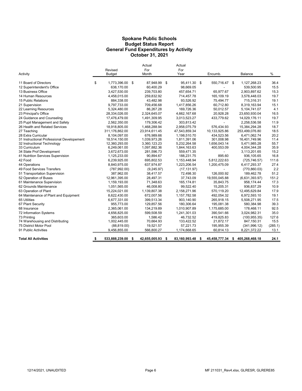#### Spokane Public Schools General Fund Expenditures by Activity October 31, 2021 Budget Status Report

| Activity                                   | Revised<br><b>Budget</b> | Actual<br>For<br>Month |     | Actual<br>For<br>Year |   | Encumb.       |               | Balance        | %       |
|--------------------------------------------|--------------------------|------------------------|-----|-----------------------|---|---------------|---------------|----------------|---------|
| 11 Board of Directors                      | \$<br>1,773,396.00 \$    | 87,948.99              | -\$ | 95,411.30 \$          |   | 550,716.47 \$ |               | 1,127,268.23   | 36.4    |
| 12 Superintendent's Office                 | 638,170.00               | 60,400.29              |     | 98,669.05             |   |               |               | 539,500.95     | 15.5    |
| 13 Business Office                         | 3,427,530.00             | 239,703.80             |     | 457,654.71            |   | 65,977.67     |               | 2,903,897.62   | 15.3    |
| 14 Human Resources                         | 4,458,015.00             | 259,832.92             |     | 714,457.78            |   | 165,109.19    |               | 3,578,448.03   | 19.7    |
| 15 Public Relations                        | 884,338.00               | 43,482.98              |     | 93,526.92             |   | 75,494.77     |               | 715,316.31     | 19.1    |
| 21 Supervision                             | 9,797,733.00             | 709,456.68             |     | 1,417,856.26          |   | 60,712.80     |               | 8,319,163.94   | 15.1    |
| 22 Learning Resources                      | 5,324,480.00             | 86,267.28              |     | 169,726.36            |   | 50,012.57     |               | 5,104,741.07   | 4.1     |
| 23 Principal's Office                      | 28,334,026.00            | 2,324,645.07           |     | 4,662,167.68          |   | 20,928.28     |               | 23,650,930.04  | 16.5    |
| 24 Guidance and Counseling                 | 17,476,479.00            | 1,491,309.95           |     | 3,013,523.27          |   | 433.779.62    |               | 14,029,176.11  | 19.7    |
| 25 Pupil Management and Safety             | 2,562,350.00             | 179,306.42             |     | 303,813.42            |   |               |               | 2,258,536.58   | 11.9    |
| 26 Health and Related Services             | 18,918,805.00            | 1,468,288.94           |     | 2,958,075.79          |   | 576,434.93    |               | 15,384,294.28  | 18.7    |
| 27 Teaching                                | 311,176,862.00           | 23,914,611.45          |     | 47,543,859.34         |   | 10,133,925.86 |               | 253,499,076.80 | 18.5    |
| 28 Extra Curricular                        | 8,104,097.00             | 676.989.66             |     | 1,198,510.70          |   | 434.523.56    |               | 6,471,062.74   | 20.2    |
| 31 Instructional Professional Developement | 18,514,150.00            | 1.039.973.26           |     | 1,811,391.06          |   | 301.008.98    |               | 16,401,749.96  | 11.4    |
| 32 Instructional Technology                | 12,360,293.00            | 3,360,123.23           |     | 5,232,264.58          |   | 1,656,043.14  |               | 5,471,985.28   | 55.7    |
| 33 Curriculum                              | 6,249,061.00             | 1,097,882.36           |     | 1,844,163.63          |   | 400,553.09    |               | 4,004,344.28   | 35.9    |
| 34 State Prof Development                  | 3,672,673.00             | 281,596.73             |     | 559,471.35            |   |               |               | 3,113,201.65   | 15.2    |
| 41 Nutrition Services Supervision          | 1,125,233.00             | 90.894.67              |     | 188.231.75            |   | 895.60        |               | 936,105.65     | 16.8    |
| 42 Food                                    | 6,239,925.00             | 695,802.53             |     | 1,153,448.94          |   | 5,812,222.63  |               | (725, 746.57)  | 111.6   |
| 44 Operations                              | 8,840,975.00             | 637,974.87             |     | 1,223,206.54          |   | 1,200,475.09  |               | 6,417,293.37   | 27.4    |
| 49 Food Services Transfers                 | (787, 992.00)            | (9,245.97)             |     | (17, 131.97)          |   |               |               | (770, 860.03)  | 2.2     |
| 51 Transportation Supervision              | 387,962.00               | 38.417.57              |     | 72,498.30             |   | 126.000.92    |               | 189,462.78     | 51.2    |
| 52 Operation of Buses                      | 12,961,395.00            | 28,497.31              |     | 37,743.09             |   | 19,555,045.88 |               | (6,631,393.97) | 151.2   |
| 61 Maintenance Supervision                 | 1,159,193.00             | 71,348.63              |     | 165,174.81            |   | 35,843.75     |               | 958.174.44     | 17.3    |
| 62 Grounds Maintenance                     | 1,051,565.00             | 46.008.80              |     | 99.522.40             |   | 15,205.31     |               | 936.837.29     | 10.9    |
| 63 Operation of Plant                      | 15,224,021.00            | 1,139,807.38           |     | 2,158,271.96          |   | 570,119.20    |               | 12,495,629.84  | 17.9    |
| 64 Maintenance of Plant and Equipment      | 8,622,430.00             | 672,007.56             |     | 1,157,782.58          |   | 492,054.32    |               | 6,972,593.10   | 19.1    |
| 65 Utilities                               | 6,677,331.00             | 399,513.34             |     | 903,140.90            |   | 265.918.15    |               | 5,508,271.95   | 17.5    |
| 67 Plant Security                          | 955,773.00               | 129,857.56             |     | 180,306.64            |   | 195,081.38    |               | 580,384.98     | 39.3    |
| 68 Insurance                               | 2,365,061.00             | 134,219.89             |     | 1,010,907.89          |   | 1,175,685.00  |               | 178,468.11     | 92.5    |
| 72 Information Systems                     | 4,656,825.00             | 599,508.59             |     | 1,241,301.03          |   | 390,541.66    |               | 3,024,982.31   | 35.0    |
| 73 Printing                                | 365,603.00               | 1.586.42               |     | 46,732.52             |   | 419,825.83    |               | (100, 955.35)  | 127.6   |
| 74 Warehousing and Distributing            | 1,002,445.00             | 70,664.93              |     | 133,422.52            |   | 21,872.17     |               | 847,150.31     | 15.5    |
| 75 District Motor Pool                     | (88, 819.00)             | 19,521.57              |     | 57,221.73             |   | 195,955.39    |               | (341, 996.12)  | (285.1) |
| 91 Public Activities                       | 9,456,855.00             | 566,800.27             |     | 1,174,668.65          |   | 60,814.13     |               | 8,221,372.22   | 13.1    |
| <b>Total All Activities</b>                | \$<br>533,888,239.00     | \$<br>42,655,005.93    | \$  | 83,160,993.48         | 5 | 45,458,777.34 | $\mathbf{\$}$ | 405,268,468.18 | 24.1    |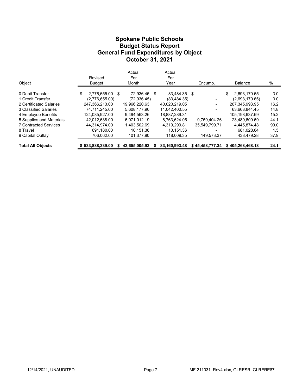#### Budget Status Report General Fund Expenditures by Object Spokane Public Schools October 31, 2021

|                              |                       | Actual        |   | Actual        |                          |                    |      |
|------------------------------|-----------------------|---------------|---|---------------|--------------------------|--------------------|------|
|                              | Revised               | For           |   | For           |                          |                    |      |
| Object                       | <b>Budget</b>         | Month         |   | Year          | Encumb.                  | <b>Balance</b>     | %    |
| 0 Debit Transfer             | \$<br>2,776,655.00 \$ | 72.936.45     | S | 83.484.35 \$  | $\blacksquare$           | \$<br>2.693.170.65 | 3.0  |
| 1 Credit Transfer            | (2,776,655.00)        | (72, 936.45)  |   | (83, 484, 35) | $\overline{\phantom{a}}$ | (2,693,170.65)     | 3.0  |
| 2 Certificated Salaries      | 247.366.213.00        | 19.966.220.63 |   | 40.020.219.05 | -                        | 207.345.993.95     | 16.2 |
| 3 Classified Salaries        | 74.711.245.00         | 5.608.177.90  |   | 11.042.400.55 | $\overline{a}$           | 63.668.844.45      | 14.8 |
| 4 Employee Benefits          | 124,085,927.00        | 9,494,563.26  |   | 18,887,289.31 |                          | 105,198,637.69     | 15.2 |
| 5 Supplies and Materials     | 42.012.638.00         | 6.071.012.19  |   | 8.763.624.05  | 9.759.404.26             | 23.489.609.69      | 44.1 |
| <b>7 Contracted Services</b> | 44.314.974.00         | 1.403.502.69  |   | 4.319.299.81  | 35.549.799.71            | 4.445.874.48       | 90.0 |
| 8 Travel                     | 691.180.00            | 10.151.36     |   | 10.151.36     | -                        | 681.028.64         | 1.5  |
| 9 Capital Outlay             | 706,062.00            | 101,377.90    |   | 118,009.35    | 149,573.37               | 438,479.28         | 37.9 |
| <b>Total All Objects</b>     | \$533,888,239.00      | 42.655.005.93 |   | 83.160.993.48 | \$45,458,777.34          | \$405,268,468.18   | 24.1 |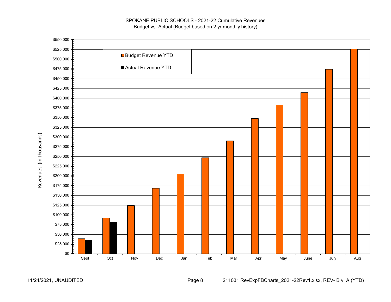



11/24/2021, UNAUDITED Page 8 211031 RevExpFBCharts\_2021-22Rev1.xlsx, REV- B v. A (YTD)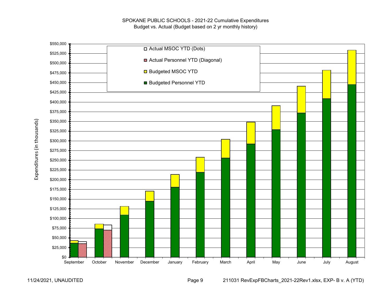

Expenditures (in thousands) Expenditures (in thousands)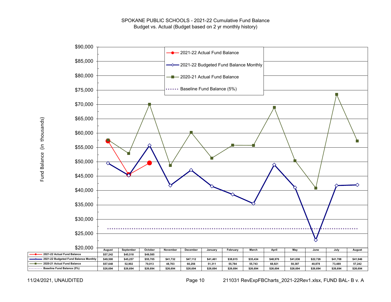

Fund Balance (in thousands) Fund Balance (in thousands)

11/24/2021, UNAUDITED Page 10 211031 RevExpFBCharts\_2021-22Rev1.xlsx, FUND BAL- B v. A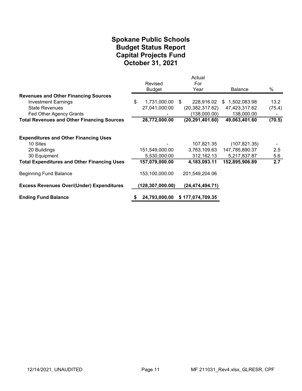## October 31, 2021 Spokane Public Schools Capital Projects Fund Budget Status Report

|                                                    | Revised            | Actual<br>For     |                |        |
|----------------------------------------------------|--------------------|-------------------|----------------|--------|
|                                                    | <b>Budget</b>      | Year              | <b>Balance</b> | %      |
| <b>Revenues and Other Financing Sources</b>        |                    |                   |                |        |
| <b>Investment Earnings</b>                         | \$<br>1,731,000.00 | 228,916.02<br>-S  | \$1,502,083.98 | 13.2   |
| <b>State Revenues</b>                              | 27,041,000.00      | (20, 382, 317.62) | 47,423,317.62  | (75.4) |
| Fed Other Agency Grants                            |                    | (138,000.00)      | 138,000.00     |        |
| <b>Total Revenues and Other Financing Sources</b>  | 28,772,000.00      | (20, 291, 401.60) | 49,063,401.60  | (70.5) |
| <b>Expenditures and Other Financing Uses</b>       |                    |                   |                |        |
| 10 Sites                                           |                    | 107,821.35        | (107, 821.35)  |        |
| 20 Buildings                                       | 151,549,000.00     | 3,763,109.63      | 147,785,890.37 | 2.5    |
| 30 Equipment                                       | 5,530,000.00       | 312,162.13        | 5,217,837.87   | 5.6    |
| <b>Total Expenditures and Other Financing Uses</b> | 157,079,000.00     | 4,183,093.11      | 152,895,906.89 | 2.7    |
| <b>Beginning Fund Balance</b>                      | 153,100,000.00     | 201,549,204.06    |                |        |
| <b>Excess Revenues Over/(Under) Expenditures</b>   | (128, 307, 000.00) | (24, 474, 494.71) |                |        |
| <b>Ending Fund Balance</b>                         | 24,793,000.00      | \$177,074,709.35  |                |        |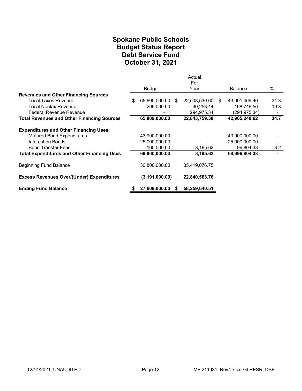### Spokane Public Schools Debt Service Fund October 31, 2021 Budget Status Report

|                                                    |                     |     | Actual<br>For    |                |      |
|----------------------------------------------------|---------------------|-----|------------------|----------------|------|
|                                                    | Budget              |     | Year             | <b>Balance</b> | $\%$ |
| <b>Revenues and Other Financing Sources</b>        |                     |     |                  |                |      |
| Local Taxes Revenue                                | \$<br>65,600,000.00 | -SS | 22,508,530.60 \$ | 43,091,469.40  | 34.3 |
| Local Nontax Revenue                               | 209,000.00          |     | 40,253.44        | 168,746.56     | 19.3 |
| <b>Federal Revenue Revenue</b>                     |                     |     | 294,975.34       | (294.975.34)   |      |
| <b>Total Revenues and Other Financing Sources</b>  | 65,809,000.00       |     | 22,843,759.38    | 42,965,240.62  | 34.7 |
| <b>Expenditures and Other Financing Uses</b>       |                     |     |                  |                |      |
| <b>Matured Bond Expenditures</b>                   | 43,900,000.00       |     |                  | 43,900,000.00  |      |
| Interest on Bonds                                  | 25,000,000.00       |     |                  | 25,000,000.00  |      |
| <b>Bond Transfer Fees</b>                          | 100,000.00          |     | 3,195.62         | 96,804.38      | 3.2  |
| <b>Total Expenditures and Other Financing Uses</b> | 69,000,000.00       |     | 3,195.62         | 68,996,804.38  |      |
| Beginning Fund Balance                             | 30,800,000.00       |     | 35,419,076.75    |                |      |
| <b>Excess Revenues Over/(Under) Expenditures</b>   | (3, 191, 000.00)    |     | 22,840,563.76    |                |      |
| <b>Ending Fund Balance</b>                         | 27,609,000.00       |     | 58,259,640.51    |                |      |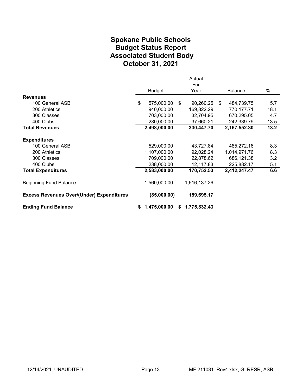# Spokane Public Schools Associated Student Body October 31, 2021 Budget Status Report

|                                                  |                  |    | Actual       |                  |      |
|--------------------------------------------------|------------------|----|--------------|------------------|------|
|                                                  |                  |    | For          |                  |      |
|                                                  | <b>Budget</b>    |    | Year         | Balance          | %    |
| <b>Revenues</b>                                  |                  |    |              |                  |      |
| 100 General ASB                                  | \$<br>575,000.00 | \$ | 90,260.25    | \$<br>484,739.75 | 15.7 |
| 200 Athletics                                    | 940,000.00       |    | 169,822.29   | 770,177.71       | 18.1 |
| 300 Classes                                      | 703,000.00       |    | 32,704.95    | 670,295.05       | 4.7  |
| 400 Clubs                                        | 280,000.00       |    | 37,660.21    | 242,339.79       | 13.5 |
| <b>Total Revenues</b>                            | 2,498,000.00     |    | 330,447.70   | 2,167,552.30     | 13.2 |
| <b>Expenditures</b>                              |                  |    |              |                  |      |
| 100 General ASB                                  | 529,000.00       |    | 43,727.84    | 485,272.16       | 8.3  |
| 200 Athletics                                    | 1,107,000.00     |    | 92,028.24    | 1,014,971.76     | 8.3  |
| 300 Classes                                      | 709,000.00       |    | 22,878.62    | 686,121.38       | 3.2  |
| 400 Clubs                                        | 238,000.00       |    | 12,117.83    | 225,882.17       | 5.1  |
| <b>Total Expenditures</b>                        | 2,583,000.00     |    | 170,752.53   | 2,412,247.47     | 6.6  |
| <b>Beginning Fund Balance</b>                    | 1,560,000.00     |    | 1,616,137.26 |                  |      |
| <b>Excess Revenues Over/(Under) Expenditures</b> | (85,000.00)      |    | 159,695.17   |                  |      |
| <b>Ending Fund Balance</b>                       | 1,475,000.00     | S. | 1,775,832.43 |                  |      |